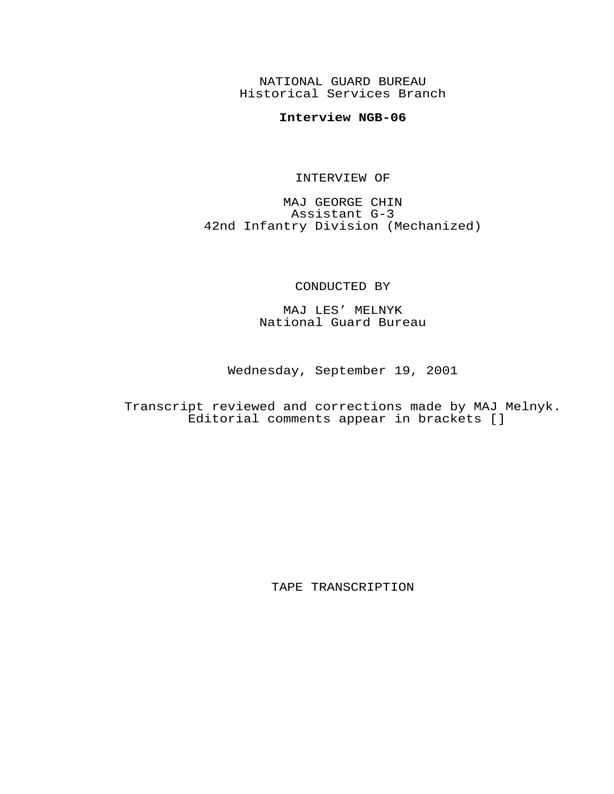NATIONAL GUARD BUREAU Historical Services Branch

## **Interview NGB-06**

## INTERVIEW OF

MAJ GEORGE CHIN Assistant G-3 42nd Infantry Division (Mechanized)

## CONDUCTED BY

MAJ LES' MELNYK National Guard Bureau

Wednesday, September 19, 2001

Transcript reviewed and corrections made by MAJ Melnyk. Editorial comments appear in brackets []

TAPE TRANSCRIPTION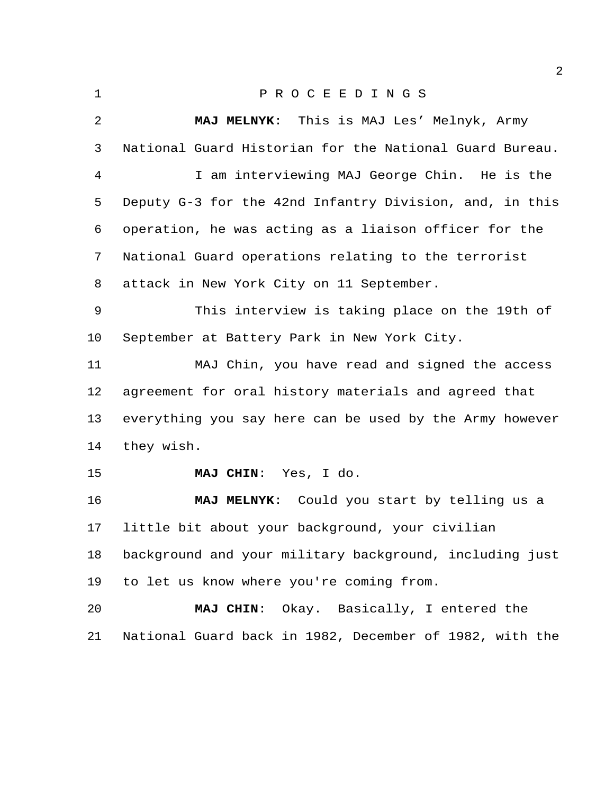| $\mathbf 1$    | PROCEEDINGS                                             |
|----------------|---------------------------------------------------------|
| $\overline{2}$ | MAJ MELNYK: This is MAJ Les' Melnyk, Army               |
| 3              | National Guard Historian for the National Guard Bureau. |
| 4              | I am interviewing MAJ George Chin. He is the            |
| 5              | Deputy G-3 for the 42nd Infantry Division, and, in this |
| 6              | operation, he was acting as a liaison officer for the   |
| 7              | National Guard operations relating to the terrorist     |
| 8              | attack in New York City on 11 September.                |
| 9              | This interview is taking place on the 19th of           |
| 10             | September at Battery Park in New York City.             |
| 11             | MAJ Chin, you have read and signed the access           |
| 12             | agreement for oral history materials and agreed that    |
| 13             | everything you say here can be used by the Army however |
| 14             | they wish.                                              |
| 15             | MAJ CHIN: Yes, I do.                                    |
| 16             | MAJ MELNYK: Could you start by telling us a             |

 little bit about your background, your civilian background and your military background, including just to let us know where you're coming from.

 **MAJ CHIN**: Okay. Basically, I entered the National Guard back in 1982, December of 1982, with the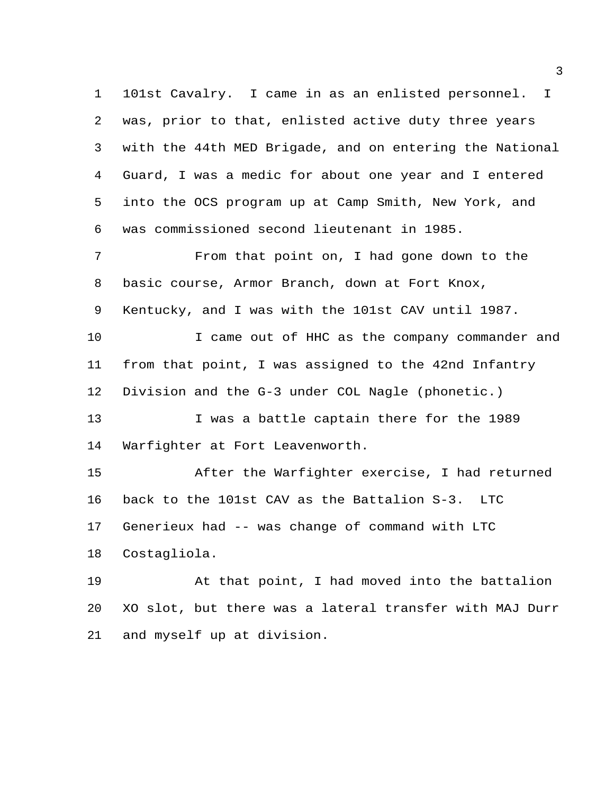101st Cavalry. I came in as an enlisted personnel. I was, prior to that, enlisted active duty three years with the 44th MED Brigade, and on entering the National Guard, I was a medic for about one year and I entered into the OCS program up at Camp Smith, New York, and was commissioned second lieutenant in 1985.

 From that point on, I had gone down to the basic course, Armor Branch, down at Fort Knox, Kentucky, and I was with the 101st CAV until 1987. I came out of HHC as the company commander and

 from that point, I was assigned to the 42nd Infantry Division and the G-3 under COL Nagle (phonetic.)

13 I was a battle captain there for the 1989 Warfighter at Fort Leavenworth.

 After the Warfighter exercise, I had returned back to the 101st CAV as the Battalion S-3. LTC Generieux had -- was change of command with LTC Costagliola.

 At that point, I had moved into the battalion XO slot, but there was a lateral transfer with MAJ Durr and myself up at division.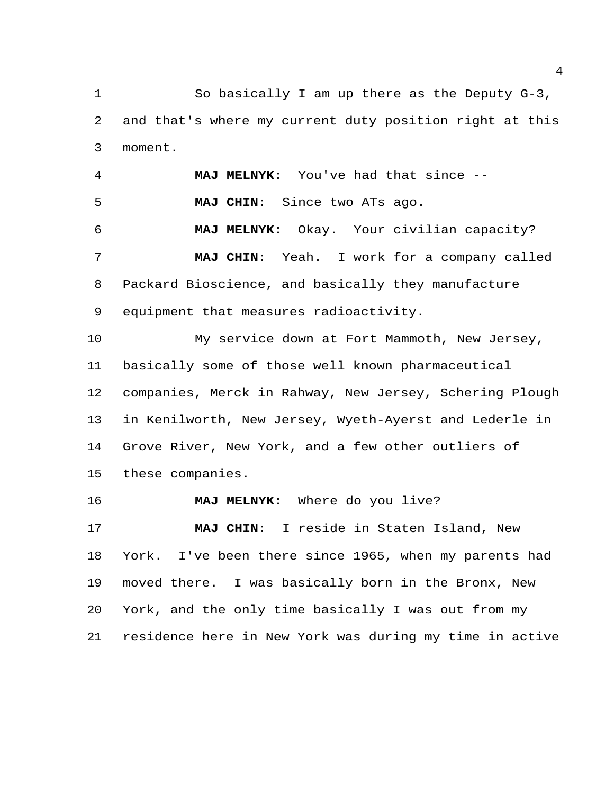So basically I am up there as the Deputy G-3, and that's where my current duty position right at this moment.

 **MAJ MELNYK**: You've had that since -- **MAJ CHIN**: Since two ATs ago. **MAJ MELNYK**: Okay. Your civilian capacity? **MAJ CHIN**: Yeah. I work for a company called Packard Bioscience, and basically they manufacture equipment that measures radioactivity.

 My service down at Fort Mammoth, New Jersey, basically some of those well known pharmaceutical companies, Merck in Rahway, New Jersey, Schering Plough in Kenilworth, New Jersey, Wyeth-Ayerst and Lederle in Grove River, New York, and a few other outliers of these companies.

**MAJ MELNYK**: Where do you live?

 **MAJ CHIN**: I reside in Staten Island, New York. I've been there since 1965, when my parents had moved there. I was basically born in the Bronx, New York, and the only time basically I was out from my residence here in New York was during my time in active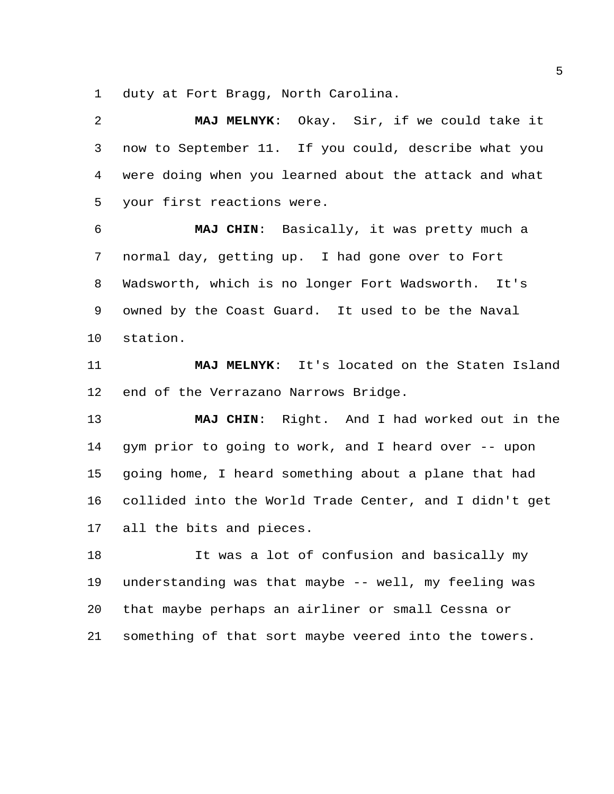duty at Fort Bragg, North Carolina.

 **MAJ MELNYK**: Okay. Sir, if we could take it now to September 11. If you could, describe what you were doing when you learned about the attack and what your first reactions were.

 **MAJ CHIN**: Basically, it was pretty much a normal day, getting up. I had gone over to Fort Wadsworth, which is no longer Fort Wadsworth. It's owned by the Coast Guard. It used to be the Naval station.

 **MAJ MELNYK**: It's located on the Staten Island end of the Verrazano Narrows Bridge.

 **MAJ CHIN**: Right. And I had worked out in the gym prior to going to work, and I heard over -- upon going home, I heard something about a plane that had collided into the World Trade Center, and I didn't get all the bits and pieces.

 It was a lot of confusion and basically my understanding was that maybe -- well, my feeling was that maybe perhaps an airliner or small Cessna or something of that sort maybe veered into the towers.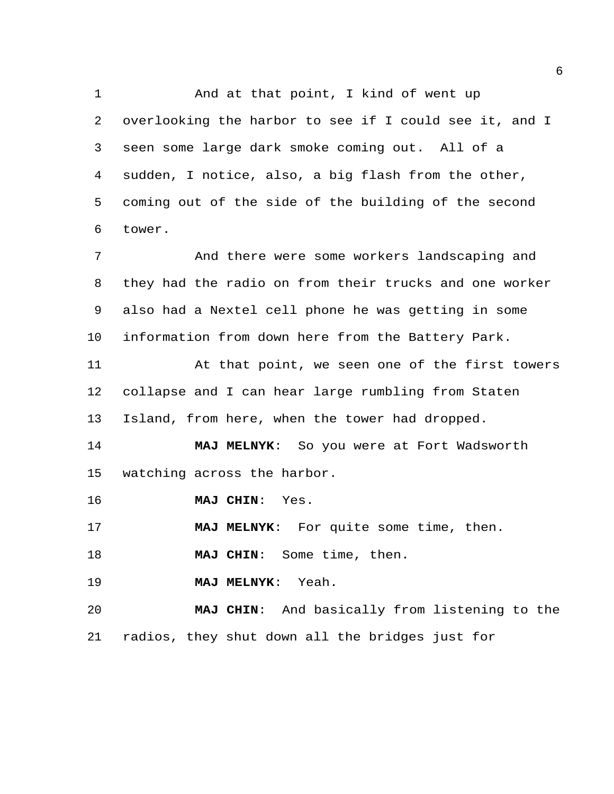And at that point, I kind of went up overlooking the harbor to see if I could see it, and I seen some large dark smoke coming out. All of a sudden, I notice, also, a big flash from the other, coming out of the side of the building of the second tower. And there were some workers landscaping and

 they had the radio on from their trucks and one worker also had a Nextel cell phone he was getting in some information from down here from the Battery Park.

 At that point, we seen one of the first towers collapse and I can hear large rumbling from Staten Island, from here, when the tower had dropped.

 **MAJ MELNYK**: So you were at Fort Wadsworth watching across the harbor.

**MAJ CHIN**: Yes.

**MAJ MELNYK**: For quite some time, then.

**MAJ CHIN**: Some time, then.

**MAJ MELNYK**: Yeah.

 **MAJ CHIN**: And basically from listening to the radios, they shut down all the bridges just for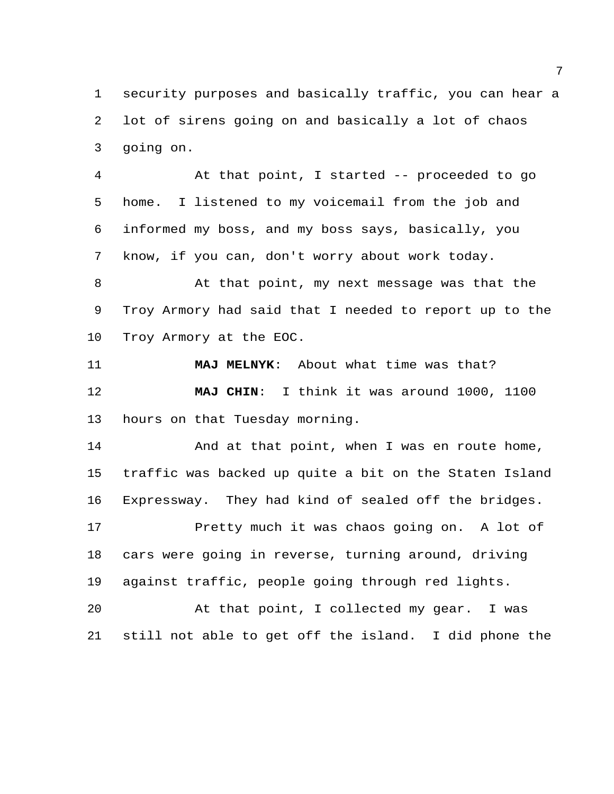security purposes and basically traffic, you can hear a lot of sirens going on and basically a lot of chaos going on.

 At that point, I started -- proceeded to go home. I listened to my voicemail from the job and informed my boss, and my boss says, basically, you know, if you can, don't worry about work today.

 At that point, my next message was that the Troy Armory had said that I needed to report up to the Troy Armory at the EOC.

 **MAJ MELNYK**: About what time was that? **MAJ CHIN**: I think it was around 1000, 1100 hours on that Tuesday morning.

14 And at that point, when I was en route home, traffic was backed up quite a bit on the Staten Island Expressway. They had kind of sealed off the bridges. Pretty much it was chaos going on. A lot of cars were going in reverse, turning around, driving against traffic, people going through red lights.

 At that point, I collected my gear. I was still not able to get off the island. I did phone the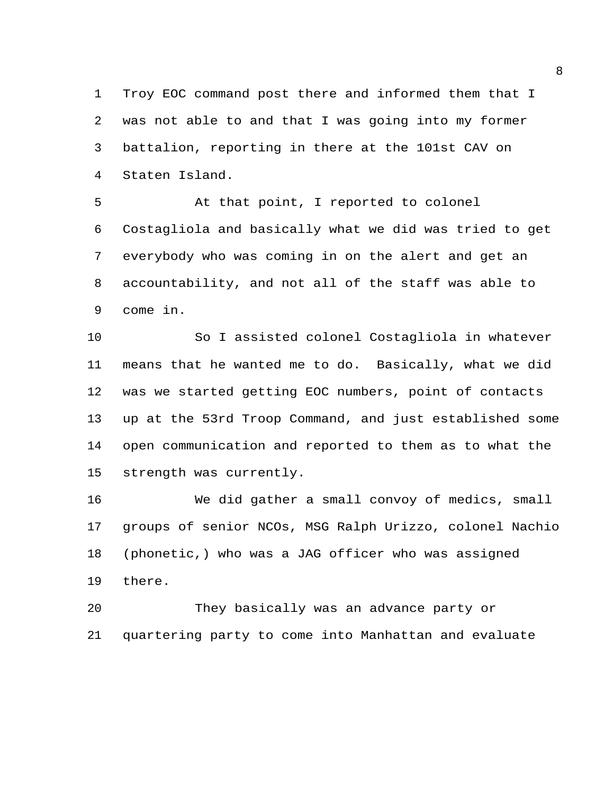Troy EOC command post there and informed them that I was not able to and that I was going into my former battalion, reporting in there at the 101st CAV on Staten Island.

 At that point, I reported to colonel Costagliola and basically what we did was tried to get everybody who was coming in on the alert and get an accountability, and not all of the staff was able to come in.

 So I assisted colonel Costagliola in whatever means that he wanted me to do. Basically, what we did was we started getting EOC numbers, point of contacts up at the 53rd Troop Command, and just established some open communication and reported to them as to what the strength was currently.

 We did gather a small convoy of medics, small groups of senior NCOs, MSG Ralph Urizzo, colonel Nachio (phonetic,) who was a JAG officer who was assigned there.

 They basically was an advance party or quartering party to come into Manhattan and evaluate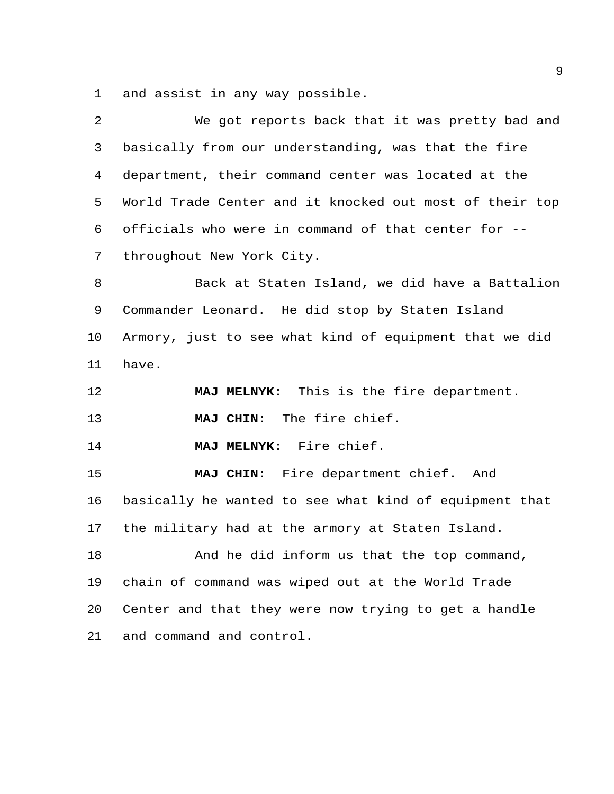and assist in any way possible.

| basically from our understanding, was that the fire<br>department, their command center was located at the |
|------------------------------------------------------------------------------------------------------------|
|                                                                                                            |
|                                                                                                            |
| World Trade Center and it knocked out most of their top                                                    |
| officials who were in command of that center for --                                                        |
|                                                                                                            |
| Back at Staten Island, we did have a Battalion                                                             |
| Commander Leonard. He did stop by Staten Island                                                            |
| Armory, just to see what kind of equipment that we did                                                     |
|                                                                                                            |
|                                                                                                            |
| MAJ MELNYK: This is the fire department.                                                                   |
|                                                                                                            |
|                                                                                                            |
| MAJ CHIN: Fire department chief. And                                                                       |
| basically he wanted to see what kind of equipment that                                                     |
| the military had at the armory at Staten Island.                                                           |
| And he did inform us that the top command,                                                                 |
| chain of command was wiped out at the World Trade                                                          |
| Center and that they were now trying to get a handle                                                       |
|                                                                                                            |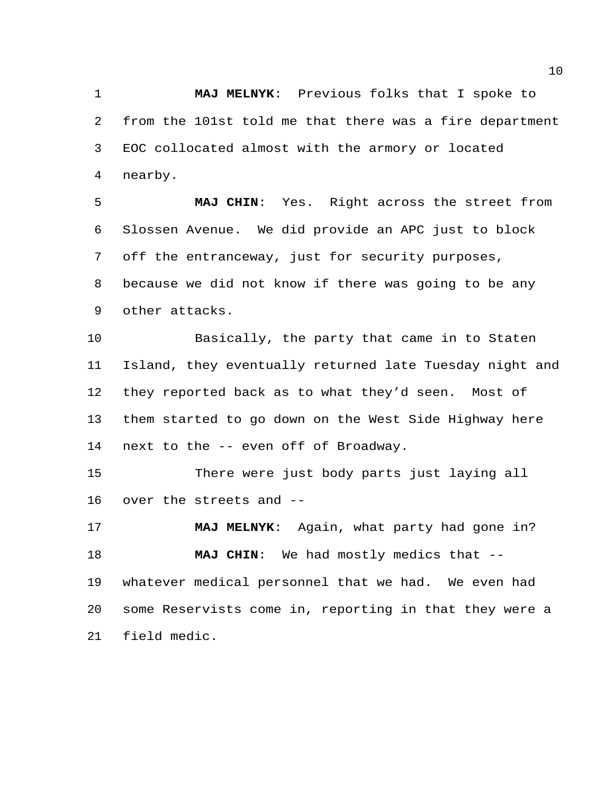**MAJ MELNYK**: Previous folks that I spoke to from the 101st told me that there was a fire department EOC collocated almost with the armory or located nearby.

 **MAJ CHIN**: Yes. Right across the street from Slossen Avenue. We did provide an APC just to block off the entranceway, just for security purposes, because we did not know if there was going to be any other attacks.

 Basically, the party that came in to Staten Island, they eventually returned late Tuesday night and they reported back as to what they'd seen. Most of them started to go down on the West Side Highway here next to the -- even off of Broadway.

 There were just body parts just laying all over the streets and --

 **MAJ MELNYK**: Again, what party had gone in? **MAJ CHIN**: We had mostly medics that -- whatever medical personnel that we had. We even had some Reservists come in, reporting in that they were a field medic.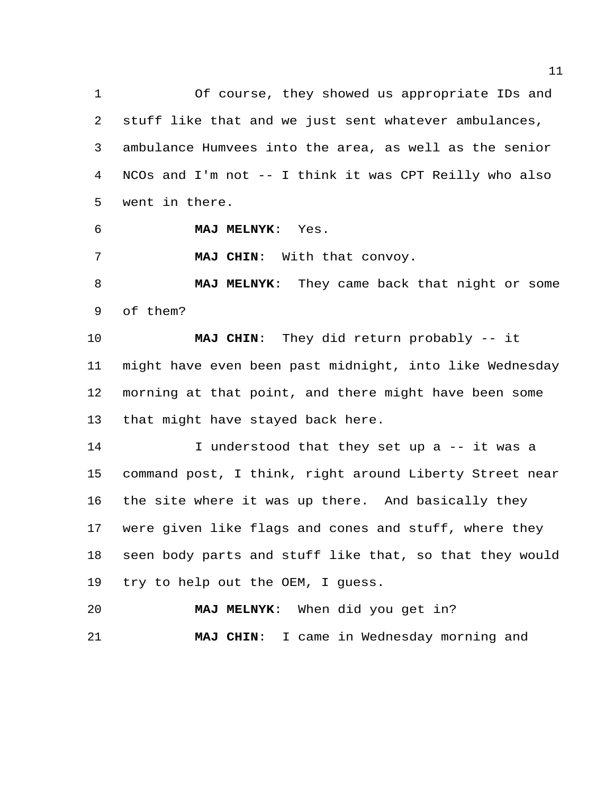Of course, they showed us appropriate IDs and stuff like that and we just sent whatever ambulances, ambulance Humvees into the area, as well as the senior NCOs and I'm not -- I think it was CPT Reilly who also went in there.

**MAJ MELNYK**: Yes.

**MAJ CHIN**: With that convoy.

 **MAJ MELNYK**: They came back that night or some of them?

 **MAJ CHIN**: They did return probably -- it might have even been past midnight, into like Wednesday morning at that point, and there might have been some that might have stayed back here.

 I understood that they set up a -- it was a command post, I think, right around Liberty Street near the site where it was up there. And basically they were given like flags and cones and stuff, where they seen body parts and stuff like that, so that they would try to help out the OEM, I guess.

 **MAJ MELNYK**: When did you get in? **MAJ CHIN**: I came in Wednesday morning and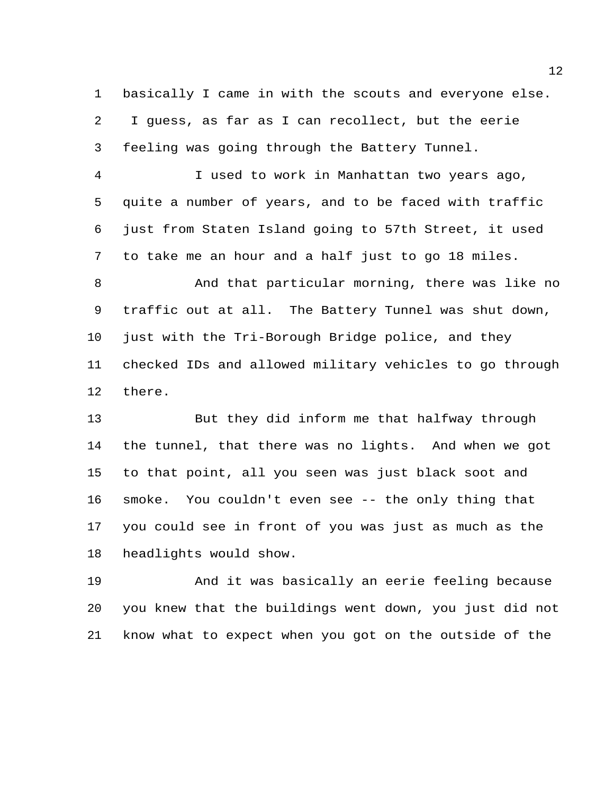basically I came in with the scouts and everyone else. I guess, as far as I can recollect, but the eerie feeling was going through the Battery Tunnel.

 I used to work in Manhattan two years ago, quite a number of years, and to be faced with traffic just from Staten Island going to 57th Street, it used to take me an hour and a half just to go 18 miles.

 And that particular morning, there was like no traffic out at all. The Battery Tunnel was shut down, just with the Tri-Borough Bridge police, and they checked IDs and allowed military vehicles to go through there.

 But they did inform me that halfway through the tunnel, that there was no lights. And when we got to that point, all you seen was just black soot and smoke. You couldn't even see -- the only thing that you could see in front of you was just as much as the headlights would show.

 And it was basically an eerie feeling because you knew that the buildings went down, you just did not know what to expect when you got on the outside of the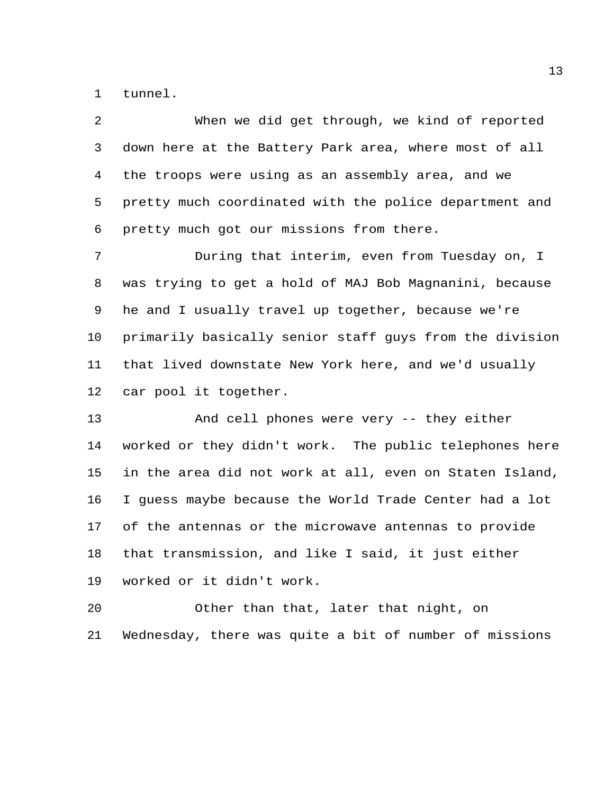tunnel.

| 2              | When we did get through, we kind of reported            |
|----------------|---------------------------------------------------------|
| 3              | down here at the Battery Park area, where most of all   |
| $\overline{4}$ | the troops were using as an assembly area, and we       |
| 5              | pretty much coordinated with the police department and  |
| 6              | pretty much got our missions from there.                |
| 7              | During that interim, even from Tuesday on, I            |
| 8              | was trying to get a hold of MAJ Bob Magnanini, because  |
| 9              | he and I usually travel up together, because we're      |
| $10 \,$        | primarily basically senior staff guys from the division |
| 11             | that lived downstate New York here, and we'd usually    |
| 12             | car pool it together.                                   |
| 13             | And cell phones were very -- they either                |
| 14             | worked or they didn't work. The public telephones here  |
| 15             | in the area did not work at all, even on Staten Island, |
| 16             | I guess maybe because the World Trade Center had a lot  |
| 17             | of the antennas or the microwave antennas to provide    |
| 18             | that transmission, and like I said, it just either      |
| 19             | worked or it didn't work.                               |

 Other than that, later that night, on Wednesday, there was quite a bit of number of missions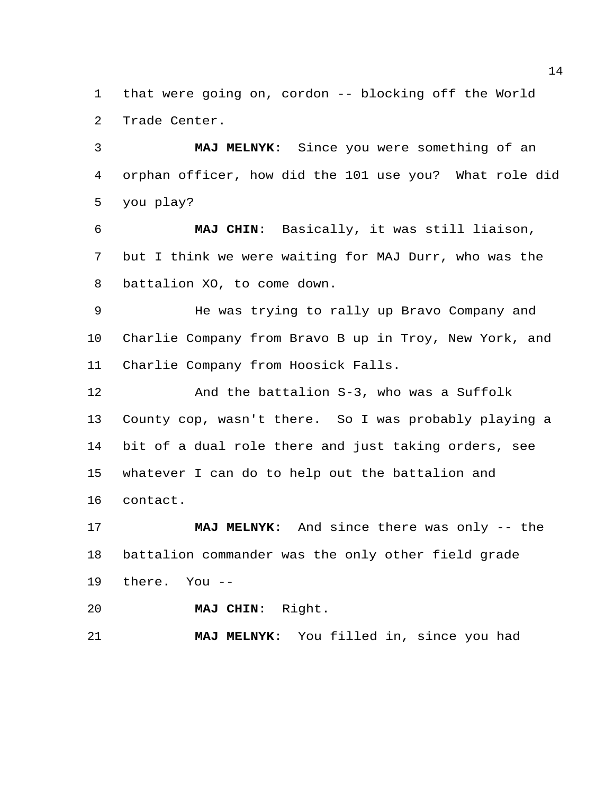that were going on, cordon -- blocking off the World Trade Center.

 **MAJ MELNYK**: Since you were something of an orphan officer, how did the 101 use you? What role did you play?

 **MAJ CHIN**: Basically, it was still liaison, but I think we were waiting for MAJ Durr, who was the battalion XO, to come down.

 He was trying to rally up Bravo Company and Charlie Company from Bravo B up in Troy, New York, and Charlie Company from Hoosick Falls.

 And the battalion S-3, who was a Suffolk County cop, wasn't there. So I was probably playing a bit of a dual role there and just taking orders, see whatever I can do to help out the battalion and contact.

 **MAJ MELNYK**: And since there was only -- the battalion commander was the only other field grade there. You --

**MAJ CHIN**: Right.

**MAJ MELNYK**: You filled in, since you had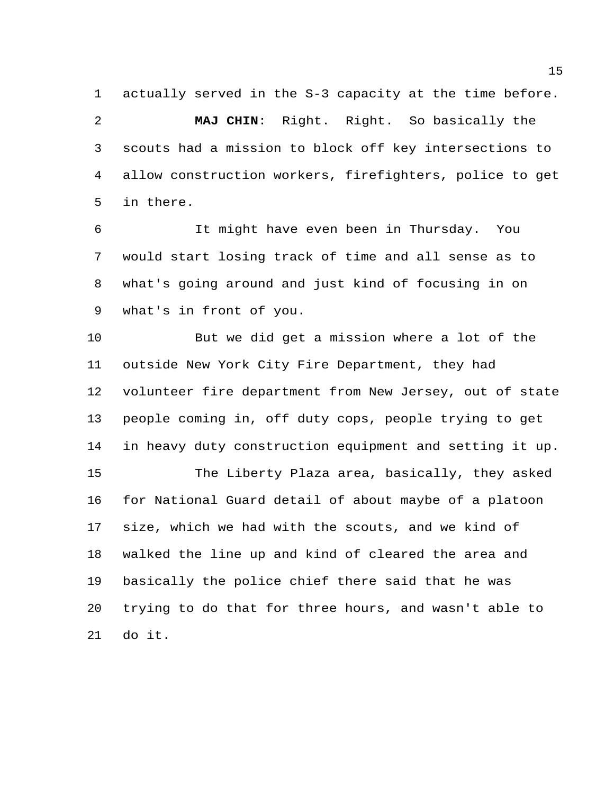actually served in the S-3 capacity at the time before. **MAJ CHIN**: Right. Right. So basically the scouts had a mission to block off key intersections to allow construction workers, firefighters, police to get in there.

 It might have even been in Thursday. You would start losing track of time and all sense as to what's going around and just kind of focusing in on what's in front of you.

 But we did get a mission where a lot of the outside New York City Fire Department, they had volunteer fire department from New Jersey, out of state people coming in, off duty cops, people trying to get in heavy duty construction equipment and setting it up. The Liberty Plaza area, basically, they asked for National Guard detail of about maybe of a platoon

 size, which we had with the scouts, and we kind of walked the line up and kind of cleared the area and basically the police chief there said that he was trying to do that for three hours, and wasn't able to do it.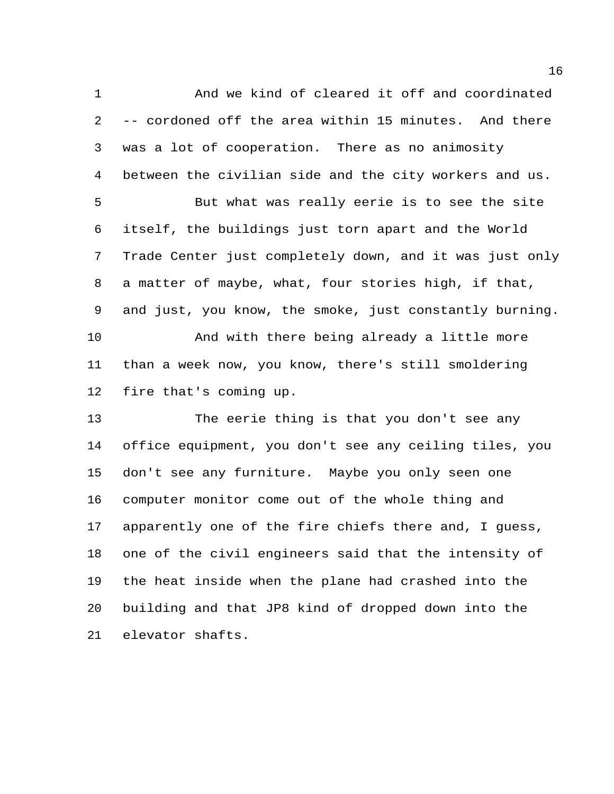And we kind of cleared it off and coordinated -- cordoned off the area within 15 minutes. And there was a lot of cooperation. There as no animosity between the civilian side and the city workers and us. But what was really eerie is to see the site itself, the buildings just torn apart and the World Trade Center just completely down, and it was just only a matter of maybe, what, four stories high, if that, and just, you know, the smoke, just constantly burning. And with there being already a little more than a week now, you know, there's still smoldering fire that's coming up. The eerie thing is that you don't see any office equipment, you don't see any ceiling tiles, you don't see any furniture. Maybe you only seen one computer monitor come out of the whole thing and apparently one of the fire chiefs there and, I guess, one of the civil engineers said that the intensity of the heat inside when the plane had crashed into the building and that JP8 kind of dropped down into the elevator shafts.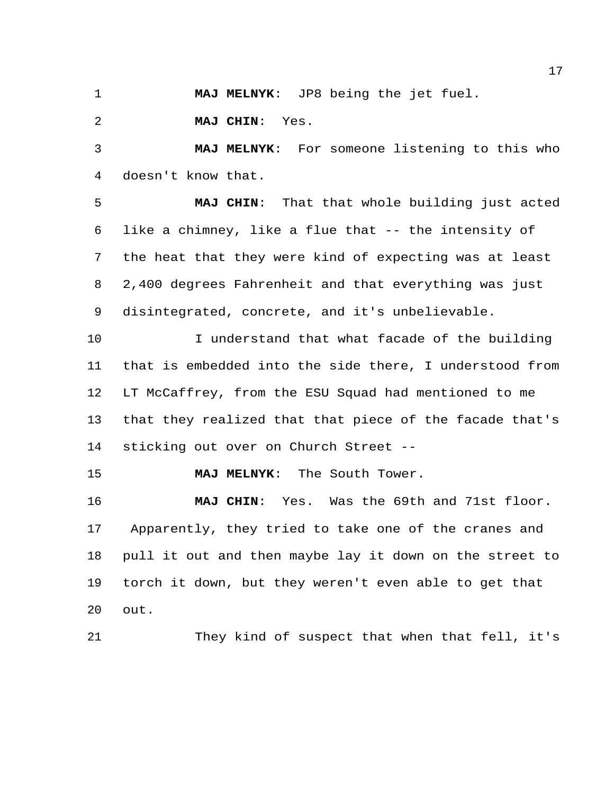**MAJ MELNYK**: JP8 being the jet fuel.

**MAJ CHIN**: Yes.

 **MAJ MELNYK**: For someone listening to this who doesn't know that.

 **MAJ CHIN**: That that whole building just acted like a chimney, like a flue that -- the intensity of the heat that they were kind of expecting was at least 2,400 degrees Fahrenheit and that everything was just disintegrated, concrete, and it's unbelievable.

 I understand that what facade of the building that is embedded into the side there, I understood from LT McCaffrey, from the ESU Squad had mentioned to me that they realized that that piece of the facade that's sticking out over on Church Street --

**MAJ MELNYK**: The South Tower.

 **MAJ CHIN**: Yes. Was the 69th and 71st floor. Apparently, they tried to take one of the cranes and pull it out and then maybe lay it down on the street to torch it down, but they weren't even able to get that out.

They kind of suspect that when that fell, it's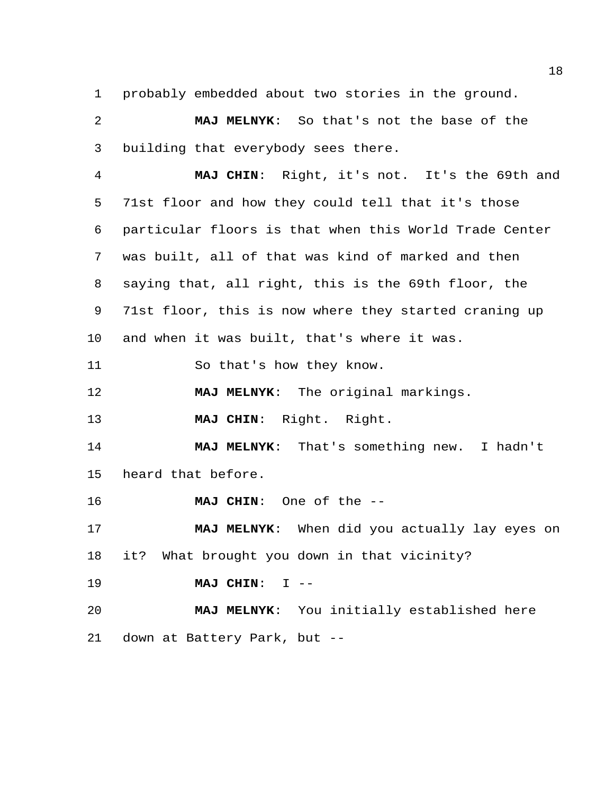probably embedded about two stories in the ground.

 **MAJ MELNYK**: So that's not the base of the building that everybody sees there.

 **MAJ CHIN**: Right, it's not. It's the 69th and 71st floor and how they could tell that it's those particular floors is that when this World Trade Center was built, all of that was kind of marked and then saying that, all right, this is the 69th floor, the 71st floor, this is now where they started craning up and when it was built, that's where it was. So that's how they know. **MAJ MELNYK**: The original markings.

**MAJ CHIN**: Right. Right.

 **MAJ MELNYK**: That's something new. I hadn't heard that before.

**MAJ CHIN**: One of the --

 **MAJ MELNYK**: When did you actually lay eyes on it? What brought you down in that vicinity?

**MAJ CHIN**: I --

 **MAJ MELNYK**: You initially established here down at Battery Park, but --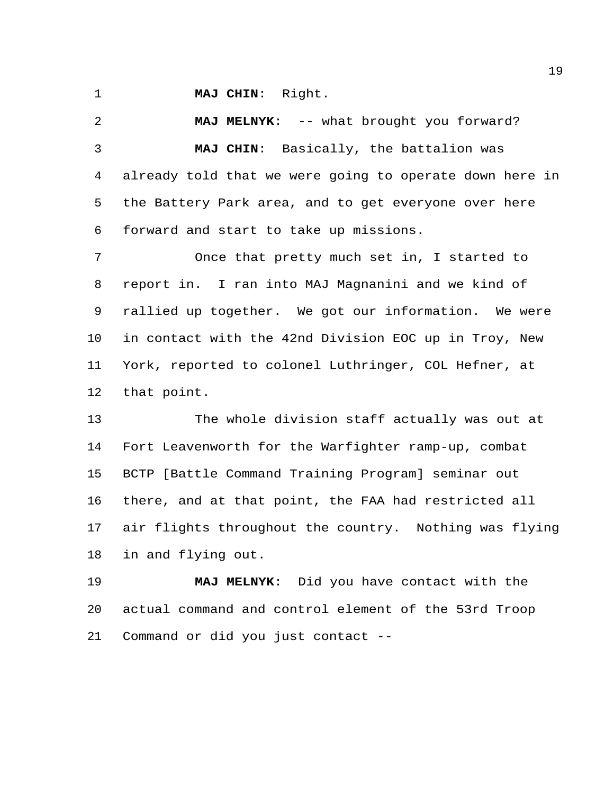**MAJ CHIN**: Right.

 **MAJ MELNYK**: -- what brought you forward? **MAJ CHIN**: Basically, the battalion was already told that we were going to operate down here in the Battery Park area, and to get everyone over here forward and start to take up missions. Once that pretty much set in, I started to report in. I ran into MAJ Magnanini and we kind of rallied up together. We got our information. We were in contact with the 42nd Division EOC up in Troy, New

 York, reported to colonel Luthringer, COL Hefner, at that point.

 The whole division staff actually was out at Fort Leavenworth for the Warfighter ramp-up, combat BCTP [Battle Command Training Program] seminar out there, and at that point, the FAA had restricted all air flights throughout the country. Nothing was flying in and flying out.

 **MAJ MELNYK**: Did you have contact with the actual command and control element of the 53rd Troop Command or did you just contact --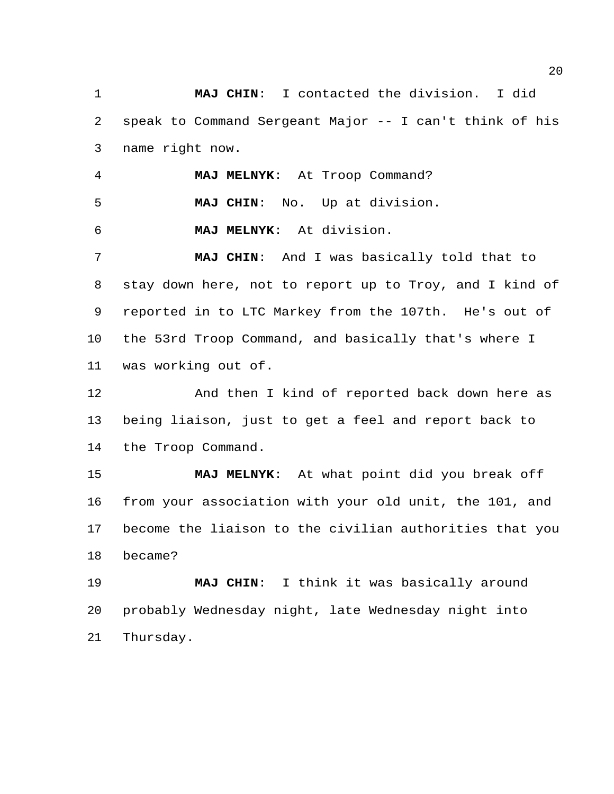**MAJ CHIN**: I contacted the division. I did speak to Command Sergeant Major -- I can't think of his name right now.

**MAJ MELNYK**: At Troop Command?

**MAJ CHIN**: No. Up at division.

**MAJ MELNYK**: At division.

 **MAJ CHIN**: And I was basically told that to stay down here, not to report up to Troy, and I kind of reported in to LTC Markey from the 107th. He's out of the 53rd Troop Command, and basically that's where I was working out of.

 And then I kind of reported back down here as being liaison, just to get a feel and report back to the Troop Command.

 **MAJ MELNYK**: At what point did you break off from your association with your old unit, the 101, and become the liaison to the civilian authorities that you became?

 **MAJ CHIN**: I think it was basically around probably Wednesday night, late Wednesday night into Thursday.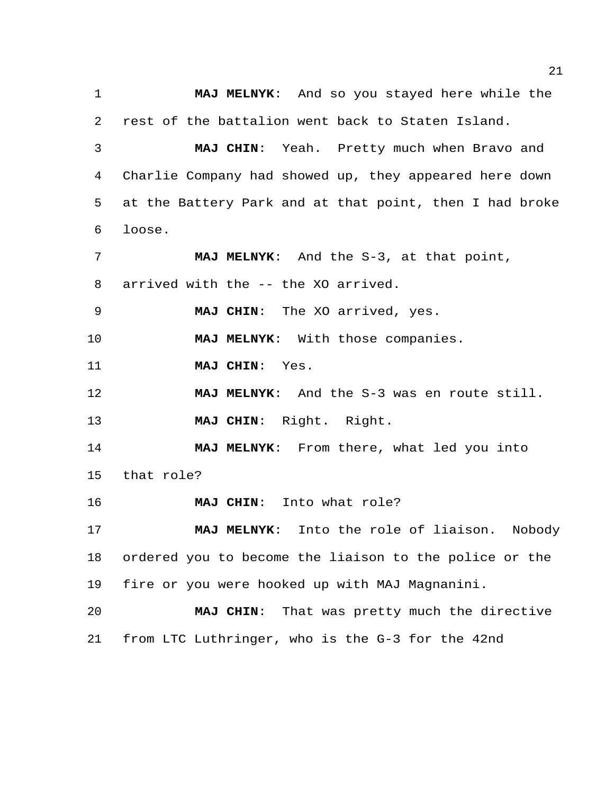**MAJ MELNYK**: And so you stayed here while the rest of the battalion went back to Staten Island. **MAJ CHIN**: Yeah. Pretty much when Bravo and Charlie Company had showed up, they appeared here down at the Battery Park and at that point, then I had broke loose. **MAJ MELNYK**: And the S-3, at that point, arrived with the -- the XO arrived. **MAJ CHIN**: The XO arrived, yes. **MAJ MELNYK**: With those companies. **MAJ CHIN**: Yes. **MAJ MELNYK**: And the S-3 was en route still. **MAJ CHIN**: Right. Right. **MAJ MELNYK**: From there, what led you into that role? **MAJ CHIN**: Into what role? **MAJ MELNYK**: Into the role of liaison. Nobody ordered you to become the liaison to the police or the fire or you were hooked up with MAJ Magnanini. **MAJ CHIN**: That was pretty much the directive from LTC Luthringer, who is the G-3 for the 42nd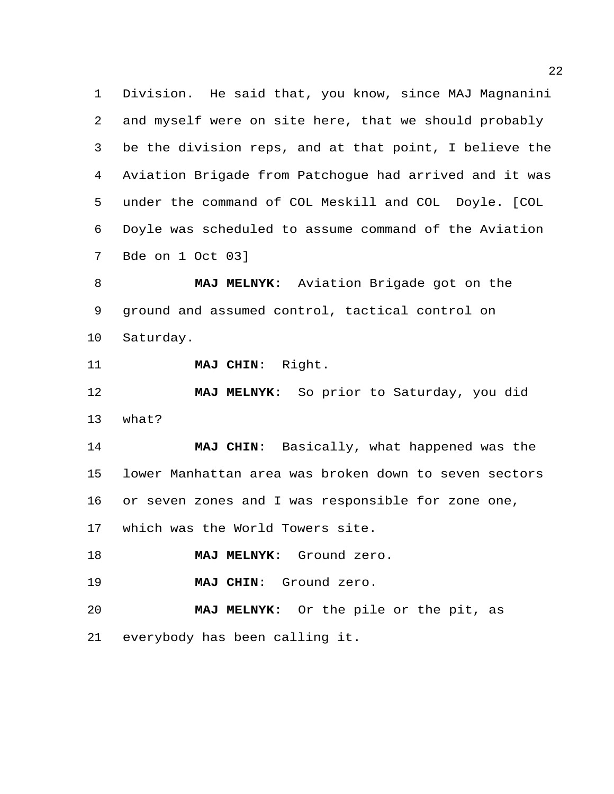Division. He said that, you know, since MAJ Magnanini and myself were on site here, that we should probably be the division reps, and at that point, I believe the Aviation Brigade from Patchogue had arrived and it was under the command of COL Meskill and COL Doyle. [COL Doyle was scheduled to assume command of the Aviation Bde on 1 Oct 03]

 **MAJ MELNYK**: Aviation Brigade got on the ground and assumed control, tactical control on Saturday.

**MAJ CHIN**: Right.

 **MAJ MELNYK**: So prior to Saturday, you did what?

 **MAJ CHIN**: Basically, what happened was the lower Manhattan area was broken down to seven sectors or seven zones and I was responsible for zone one, which was the World Towers site.

**MAJ MELNYK**: Ground zero.

**MAJ CHIN**: Ground zero.

 **MAJ MELNYK**: Or the pile or the pit, as everybody has been calling it.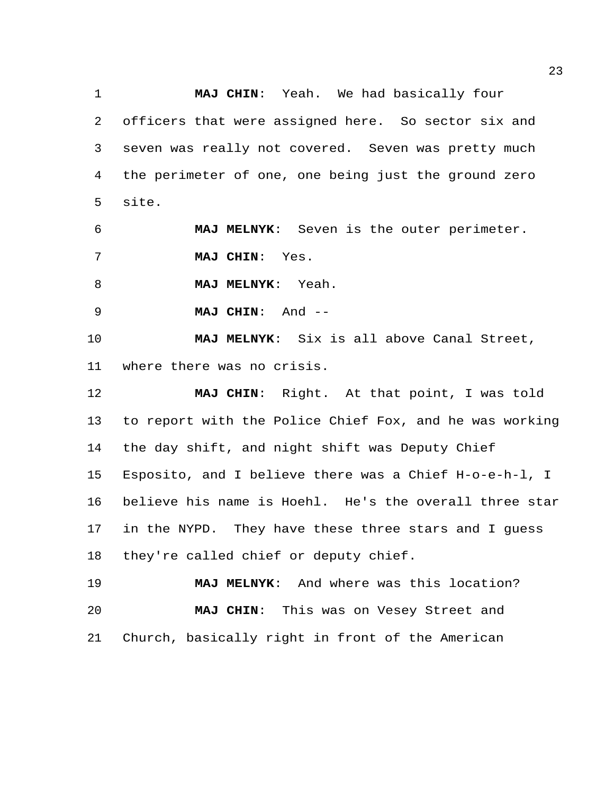**MAJ CHIN**: Yeah. We had basically four officers that were assigned here. So sector six and seven was really not covered. Seven was pretty much the perimeter of one, one being just the ground zero site.

 **MAJ MELNYK**: Seven is the outer perimeter. **MAJ CHIN**: Yes.

**MAJ MELNYK**: Yeah.

**MAJ CHIN**: And --

 **MAJ MELNYK**: Six is all above Canal Street, where there was no crisis.

 **MAJ CHIN**: Right. At that point, I was told to report with the Police Chief Fox, and he was working the day shift, and night shift was Deputy Chief Esposito, and I believe there was a Chief H-o-e-h-l, I believe his name is Hoehl. He's the overall three star in the NYPD. They have these three stars and I guess they're called chief or deputy chief.

 **MAJ MELNYK**: And where was this location? **MAJ CHIN**: This was on Vesey Street and Church, basically right in front of the American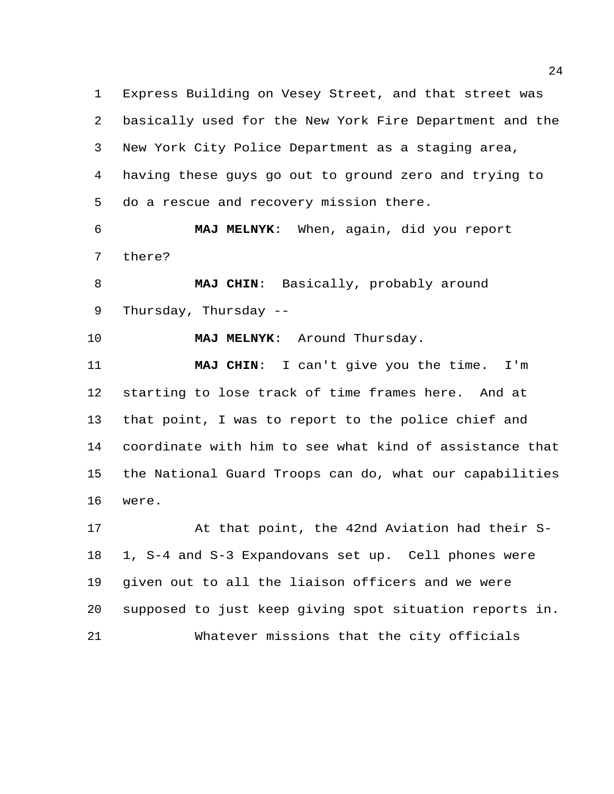Express Building on Vesey Street, and that street was basically used for the New York Fire Department and the New York City Police Department as a staging area, having these guys go out to ground zero and trying to do a rescue and recovery mission there.

 **MAJ MELNYK**: When, again, did you report there?

 **MAJ CHIN**: Basically, probably around Thursday, Thursday --

**MAJ MELNYK**: Around Thursday.

 **MAJ CHIN**: I can't give you the time. I'm starting to lose track of time frames here. And at that point, I was to report to the police chief and coordinate with him to see what kind of assistance that the National Guard Troops can do, what our capabilities were.

 At that point, the 42nd Aviation had their S- 1, S-4 and S-3 Expandovans set up. Cell phones were given out to all the liaison officers and we were supposed to just keep giving spot situation reports in. Whatever missions that the city officials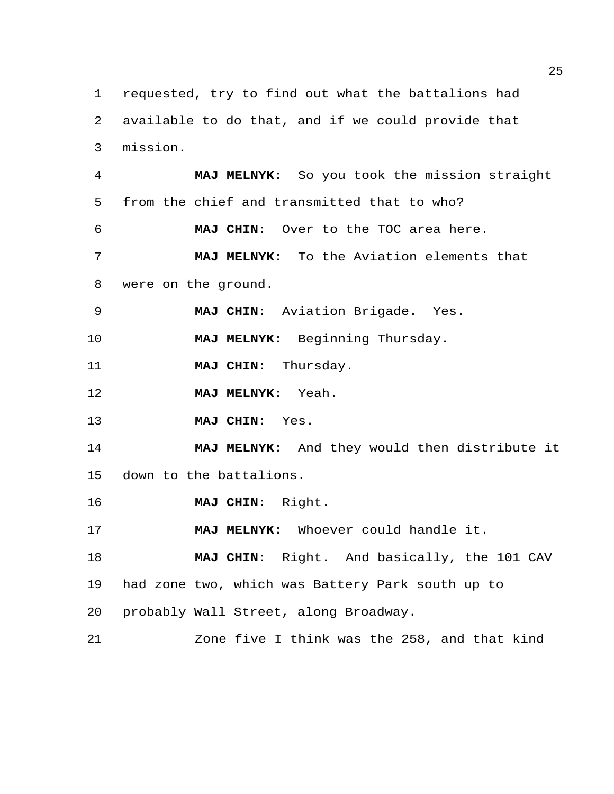requested, try to find out what the battalions had available to do that, and if we could provide that mission. **MAJ MELNYK**: So you took the mission straight from the chief and transmitted that to who? **MAJ CHIN**: Over to the TOC area here. **MAJ MELNYK**: To the Aviation elements that were on the ground. **MAJ CHIN**: Aviation Brigade. Yes. **MAJ MELNYK**: Beginning Thursday. **MAJ CHIN**: Thursday. **MAJ MELNYK**: Yeah. **MAJ CHIN**: Yes. **MAJ MELNYK**: And they would then distribute it down to the battalions. **MAJ CHIN**: Right. **MAJ MELNYK**: Whoever could handle it. **MAJ CHIN**: Right. And basically, the 101 CAV had zone two, which was Battery Park south up to probably Wall Street, along Broadway. Zone five I think was the 258, and that kind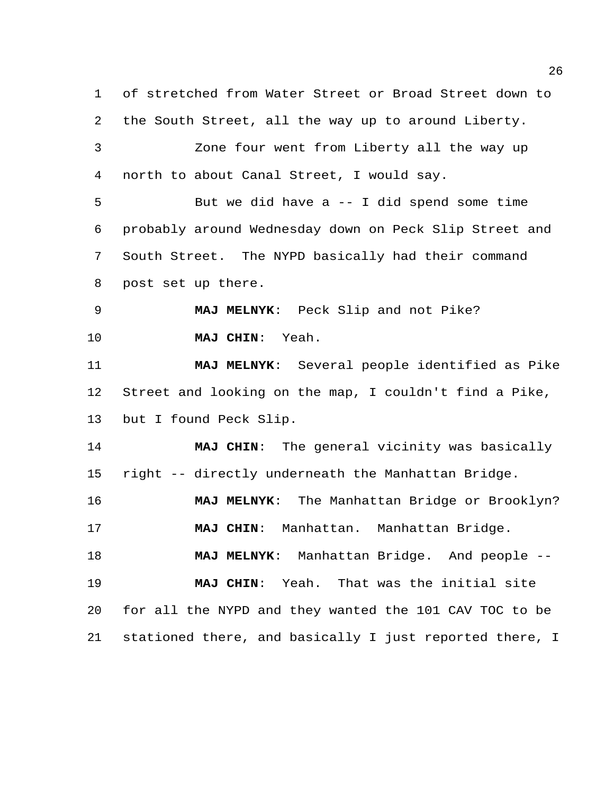of stretched from Water Street or Broad Street down to the South Street, all the way up to around Liberty. Zone four went from Liberty all the way up north to about Canal Street, I would say. But we did have a -- I did spend some time probably around Wednesday down on Peck Slip Street and South Street. The NYPD basically had their command post set up there. **MAJ MELNYK**: Peck Slip and not Pike? **MAJ CHIN**: Yeah. **MAJ MELNYK**: Several people identified as Pike Street and looking on the map, I couldn't find a Pike, but I found Peck Slip. **MAJ CHIN**: The general vicinity was basically right -- directly underneath the Manhattan Bridge. **MAJ MELNYK**: The Manhattan Bridge or Brooklyn? **MAJ CHIN**: Manhattan. Manhattan Bridge. **MAJ MELNYK**: Manhattan Bridge. And people -- **MAJ CHIN**: Yeah. That was the initial site for all the NYPD and they wanted the 101 CAV TOC to be stationed there, and basically I just reported there, I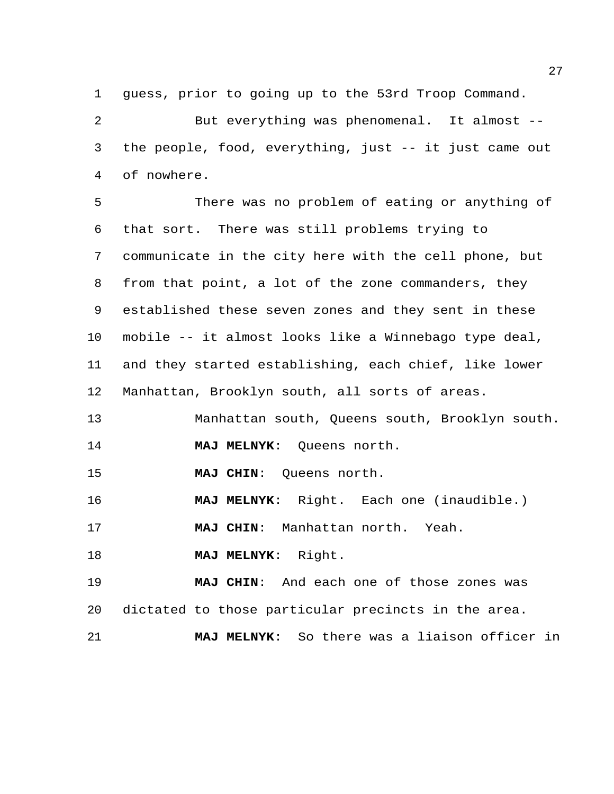guess, prior to going up to the 53rd Troop Command.

 But everything was phenomenal. It almost -- the people, food, everything, just -- it just came out of nowhere.

 There was no problem of eating or anything of that sort. There was still problems trying to communicate in the city here with the cell phone, but from that point, a lot of the zone commanders, they established these seven zones and they sent in these mobile -- it almost looks like a Winnebago type deal, and they started establishing, each chief, like lower Manhattan, Brooklyn south, all sorts of areas.

 Manhattan south, Queens south, Brooklyn south. **MAJ MELNYK**: Queens north.

**MAJ CHIN**: Queens north.

**MAJ MELNYK**: Right. Each one (inaudible.)

**MAJ CHIN**: Manhattan north. Yeah.

**MAJ MELNYK**: Right.

 **MAJ CHIN**: And each one of those zones was dictated to those particular precincts in the area.

**MAJ MELNYK**: So there was a liaison officer in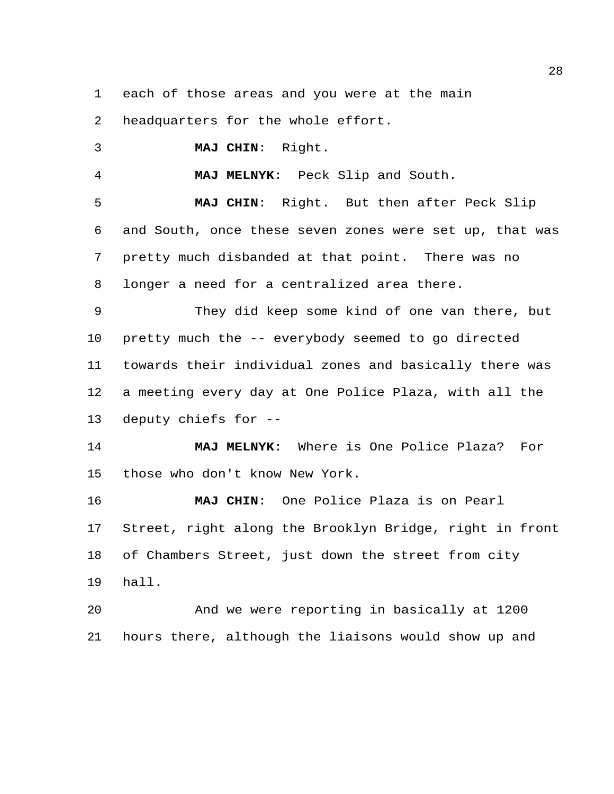each of those areas and you were at the main

headquarters for the whole effort.

**MAJ CHIN**: Right.

**MAJ MELNYK**: Peck Slip and South.

 **MAJ CHIN**: Right. But then after Peck Slip and South, once these seven zones were set up, that was pretty much disbanded at that point. There was no longer a need for a centralized area there.

 They did keep some kind of one van there, but pretty much the -- everybody seemed to go directed towards their individual zones and basically there was a meeting every day at One Police Plaza, with all the deputy chiefs for --

 **MAJ MELNYK**: Where is One Police Plaza? For those who don't know New York.

 **MAJ CHIN**: One Police Plaza is on Pearl Street, right along the Brooklyn Bridge, right in front of Chambers Street, just down the street from city hall.

 And we were reporting in basically at 1200 hours there, although the liaisons would show up and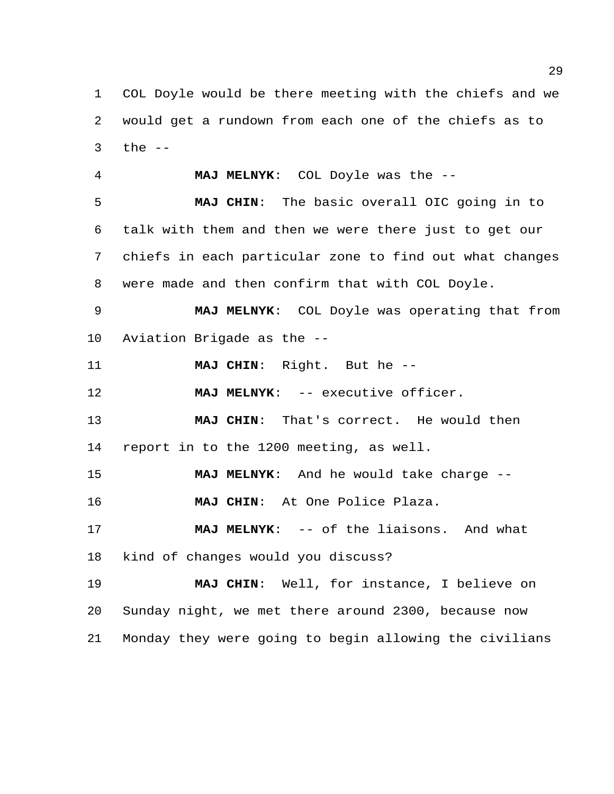COL Doyle would be there meeting with the chiefs and we would get a rundown from each one of the chiefs as to the  $-$ 

 **MAJ MELNYK**: COL Doyle was the -- **MAJ CHIN**: The basic overall OIC going in to talk with them and then we were there just to get our chiefs in each particular zone to find out what changes were made and then confirm that with COL Doyle. **MAJ MELNYK**: COL Doyle was operating that from Aviation Brigade as the -- **MAJ CHIN**: Right. But he -- **MAJ MELNYK**: -- executive officer.

 **MAJ CHIN**: That's correct. He would then report in to the 1200 meeting, as well.

**MAJ MELNYK**: And he would take charge --

**MAJ CHIN**: At One Police Plaza.

 **MAJ MELNYK**: -- of the liaisons. And what kind of changes would you discuss?

 **MAJ CHIN**: Well, for instance, I believe on Sunday night, we met there around 2300, because now Monday they were going to begin allowing the civilians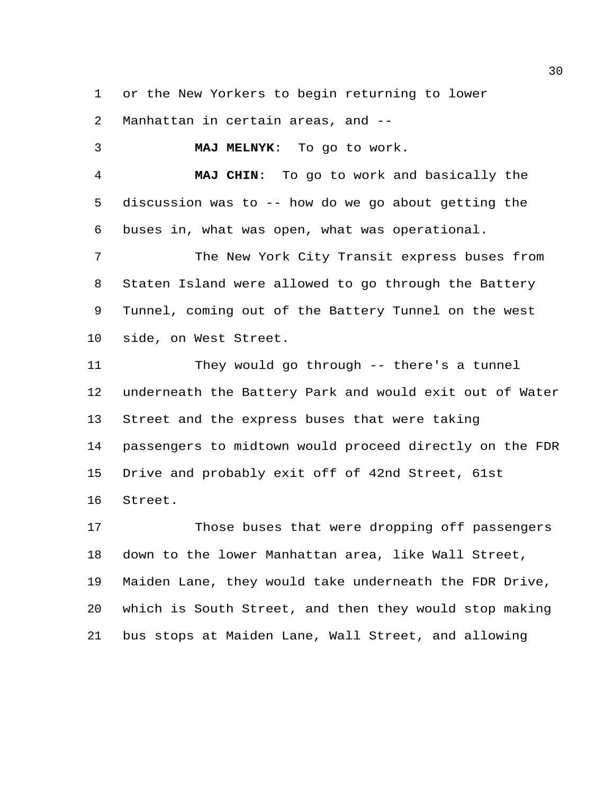or the New Yorkers to begin returning to lower

Manhattan in certain areas, and --

 **MAJ MELNYK**: To go to work. **MAJ CHIN**: To go to work and basically the discussion was to -- how do we go about getting the buses in, what was open, what was operational. The New York City Transit express buses from Staten Island were allowed to go through the Battery Tunnel, coming out of the Battery Tunnel on the west side, on West Street. They would go through -- there's a tunnel underneath the Battery Park and would exit out of Water Street and the express buses that were taking passengers to midtown would proceed directly on the FDR Drive and probably exit off of 42nd Street, 61st Street.

 Those buses that were dropping off passengers down to the lower Manhattan area, like Wall Street, Maiden Lane, they would take underneath the FDR Drive, which is South Street, and then they would stop making bus stops at Maiden Lane, Wall Street, and allowing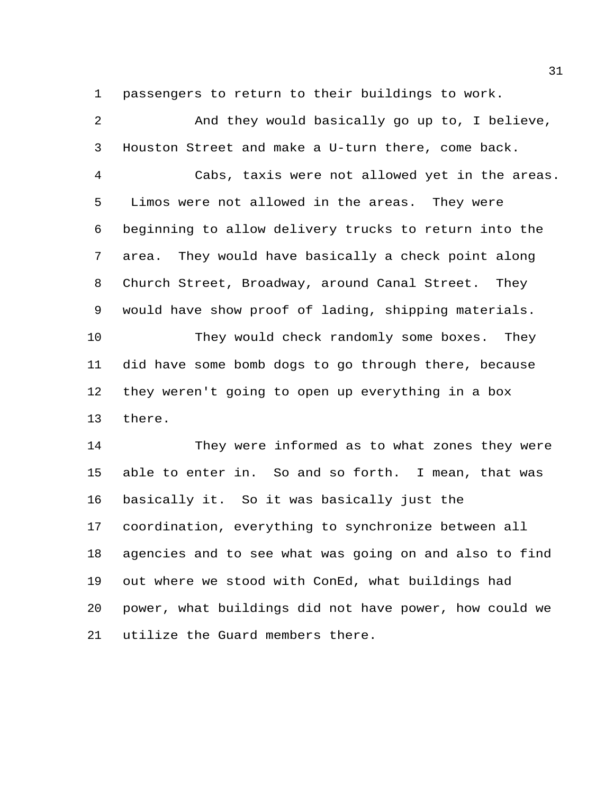passengers to return to their buildings to work.

 And they would basically go up to, I believe, Houston Street and make a U-turn there, come back. Cabs, taxis were not allowed yet in the areas. Limos were not allowed in the areas. They were beginning to allow delivery trucks to return into the area. They would have basically a check point along Church Street, Broadway, around Canal Street. They would have show proof of lading, shipping materials. They would check randomly some boxes. They did have some bomb dogs to go through there, because they weren't going to open up everything in a box there. They were informed as to what zones they were able to enter in. So and so forth. I mean, that was basically it. So it was basically just the coordination, everything to synchronize between all agencies and to see what was going on and also to find out where we stood with ConEd, what buildings had power, what buildings did not have power, how could we utilize the Guard members there.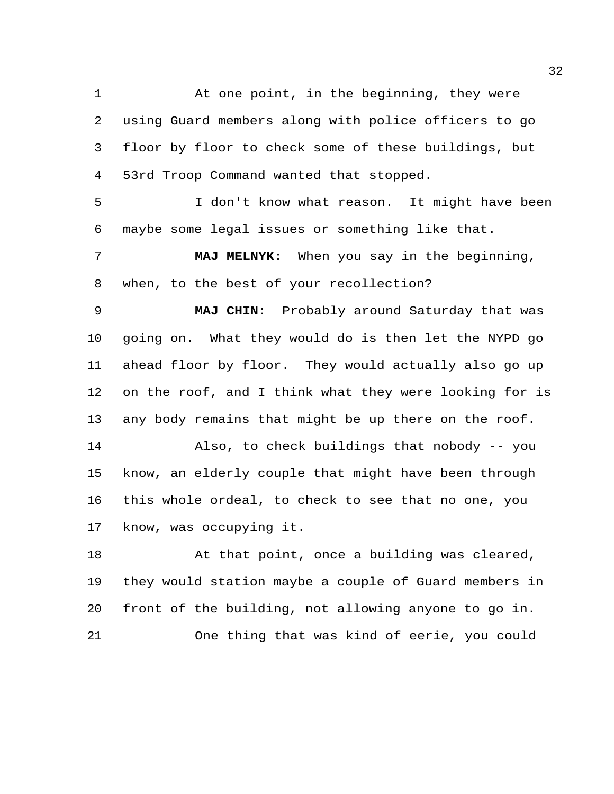At one point, in the beginning, they were using Guard members along with police officers to go floor by floor to check some of these buildings, but 53rd Troop Command wanted that stopped.

 I don't know what reason. It might have been maybe some legal issues or something like that.

 **MAJ MELNYK**: When you say in the beginning, when, to the best of your recollection?

 **MAJ CHIN**: Probably around Saturday that was going on. What they would do is then let the NYPD go ahead floor by floor. They would actually also go up on the roof, and I think what they were looking for is any body remains that might be up there on the roof.

 Also, to check buildings that nobody -- you know, an elderly couple that might have been through this whole ordeal, to check to see that no one, you know, was occupying it.

 At that point, once a building was cleared, they would station maybe a couple of Guard members in front of the building, not allowing anyone to go in. One thing that was kind of eerie, you could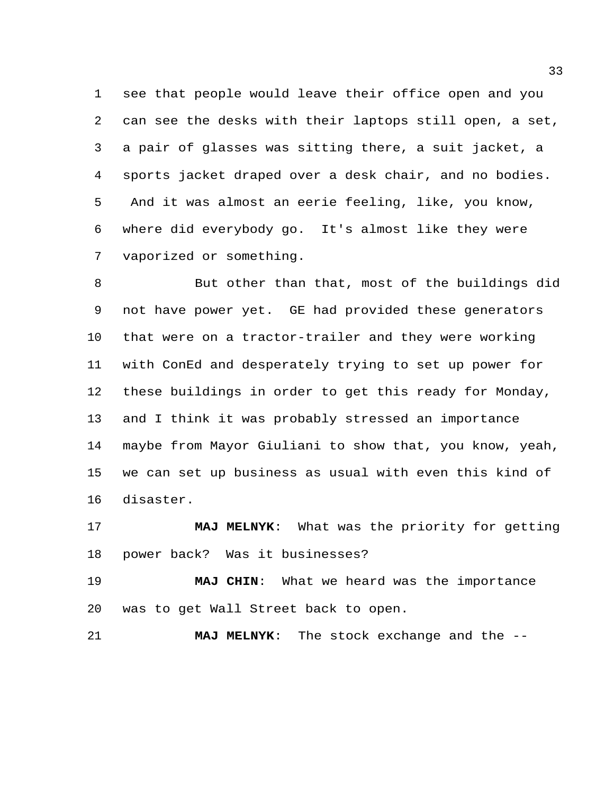see that people would leave their office open and you can see the desks with their laptops still open, a set, a pair of glasses was sitting there, a suit jacket, a sports jacket draped over a desk chair, and no bodies. And it was almost an eerie feeling, like, you know, where did everybody go. It's almost like they were vaporized or something.

 But other than that, most of the buildings did not have power yet. GE had provided these generators that were on a tractor-trailer and they were working with ConEd and desperately trying to set up power for these buildings in order to get this ready for Monday, and I think it was probably stressed an importance maybe from Mayor Giuliani to show that, you know, yeah, we can set up business as usual with even this kind of disaster.

 **MAJ MELNYK**: What was the priority for getting power back? Was it businesses?

 **MAJ CHIN**: What we heard was the importance was to get Wall Street back to open.

**MAJ MELNYK**: The stock exchange and the --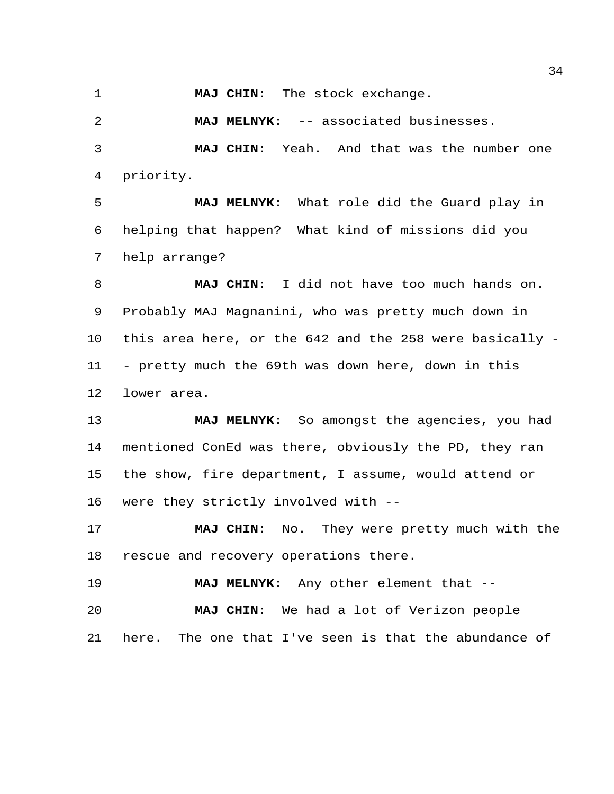**MAJ CHIN**: The stock exchange.

**MAJ MELNYK**: -- associated businesses.

 **MAJ CHIN**: Yeah. And that was the number one priority.

 **MAJ MELNYK**: What role did the Guard play in helping that happen? What kind of missions did you help arrange?

 **MAJ CHIN**: I did not have too much hands on. Probably MAJ Magnanini, who was pretty much down in this area here, or the 642 and the 258 were basically - - pretty much the 69th was down here, down in this lower area.

 **MAJ MELNYK**: So amongst the agencies, you had mentioned ConEd was there, obviously the PD, they ran the show, fire department, I assume, would attend or were they strictly involved with --

 **MAJ CHIN**: No. They were pretty much with the rescue and recovery operations there.

**MAJ MELNYK**: Any other element that --

 **MAJ CHIN**: We had a lot of Verizon people here. The one that I've seen is that the abundance of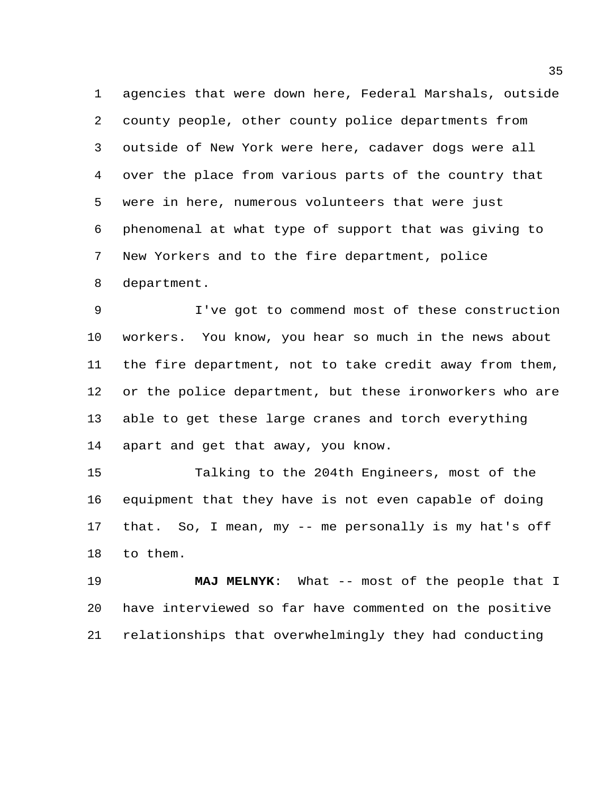agencies that were down here, Federal Marshals, outside county people, other county police departments from outside of New York were here, cadaver dogs were all over the place from various parts of the country that were in here, numerous volunteers that were just phenomenal at what type of support that was giving to New Yorkers and to the fire department, police department.

 I've got to commend most of these construction workers. You know, you hear so much in the news about the fire department, not to take credit away from them, or the police department, but these ironworkers who are able to get these large cranes and torch everything apart and get that away, you know.

 Talking to the 204th Engineers, most of the equipment that they have is not even capable of doing that. So, I mean, my -- me personally is my hat's off to them.

 **MAJ MELNYK**: What -- most of the people that I have interviewed so far have commented on the positive relationships that overwhelmingly they had conducting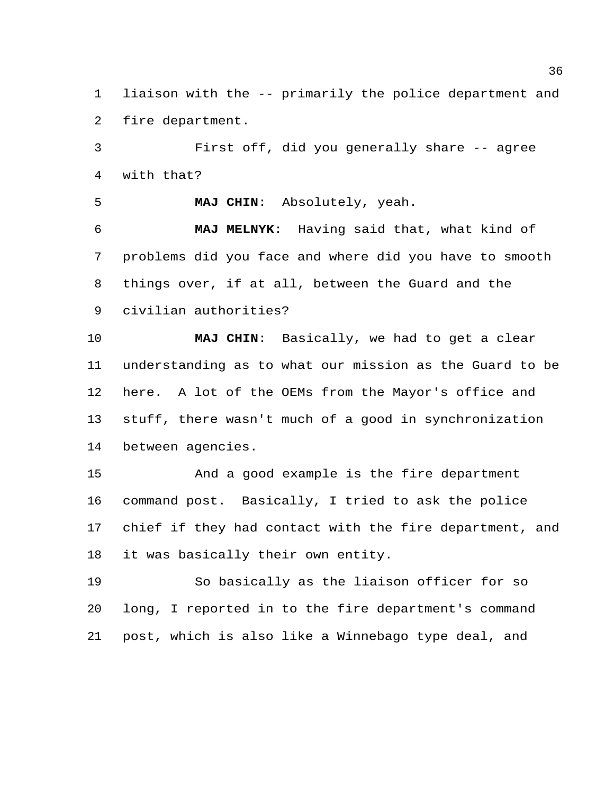liaison with the -- primarily the police department and fire department.

 First off, did you generally share -- agree with that?

**MAJ CHIN**: Absolutely, yeah.

 **MAJ MELNYK**: Having said that, what kind of problems did you face and where did you have to smooth things over, if at all, between the Guard and the civilian authorities?

 **MAJ CHIN**: Basically, we had to get a clear understanding as to what our mission as the Guard to be here. A lot of the OEMs from the Mayor's office and stuff, there wasn't much of a good in synchronization between agencies.

 And a good example is the fire department command post. Basically, I tried to ask the police chief if they had contact with the fire department, and it was basically their own entity.

 So basically as the liaison officer for so long, I reported in to the fire department's command post, which is also like a Winnebago type deal, and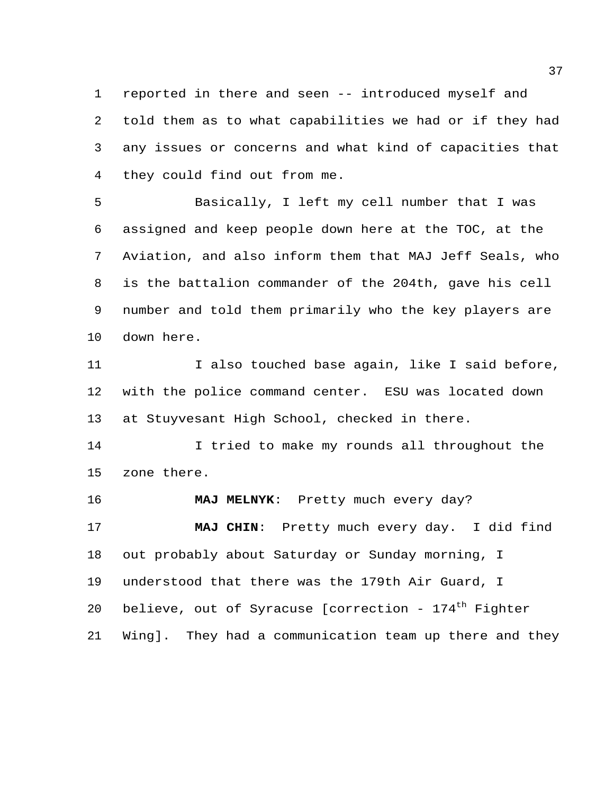reported in there and seen -- introduced myself and told them as to what capabilities we had or if they had any issues or concerns and what kind of capacities that they could find out from me.

 Basically, I left my cell number that I was assigned and keep people down here at the TOC, at the Aviation, and also inform them that MAJ Jeff Seals, who is the battalion commander of the 204th, gave his cell number and told them primarily who the key players are down here.

11 100 I also touched base again, like I said before, with the police command center. ESU was located down at Stuyvesant High School, checked in there.

 I tried to make my rounds all throughout the zone there.

 **MAJ MELNYK**: Pretty much every day? **MAJ CHIN**: Pretty much every day. I did find out probably about Saturday or Sunday morning, I understood that there was the 179th Air Guard, I 20 believe, out of Syracuse [correction -  $174<sup>th</sup>$  Fighter Wing]. They had a communication team up there and they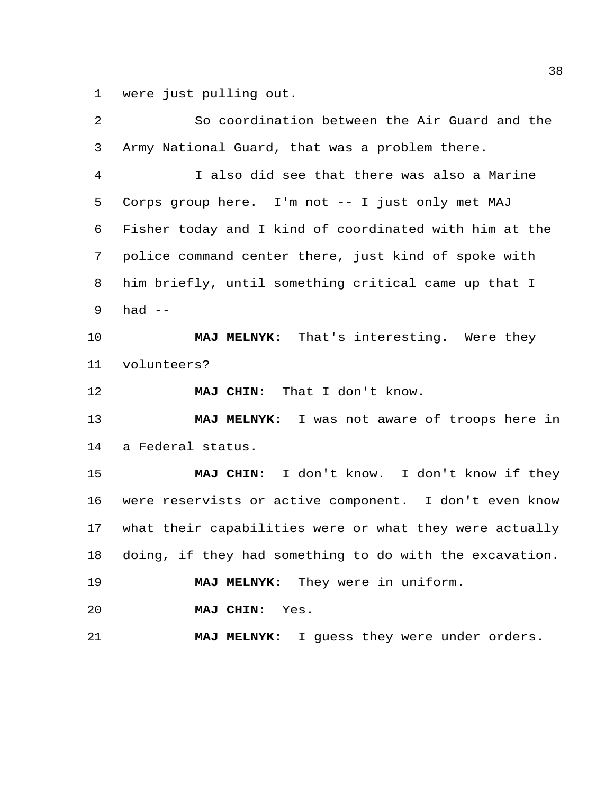were just pulling out.

| 2              | So coordination between the Air Guard and the           |
|----------------|---------------------------------------------------------|
| 3              | Army National Guard, that was a problem there.          |
| $\overline{4}$ | I also did see that there was also a Marine             |
| 5              | Corps group here. I'm not -- I just only met MAJ        |
| 6              | Fisher today and I kind of coordinated with him at the  |
| 7              | police command center there, just kind of spoke with    |
| 8              | him briefly, until something critical came up that I    |
| 9              | had $--$                                                |
| 10             | MAJ MELNYK: That's interesting. Were they               |
| 11             | volunteers?                                             |
| 12             | MAJ CHIN: That I don't know.                            |
|                |                                                         |
| 13             | MAJ MELNYK: I was not aware of troops here in           |
| 14             | a Federal status.                                       |
| 15             | MAJ CHIN: I don't know. I don't know if they            |
| 16             | were reservists or active component. I don't even know  |
| 17             | what their capabilities were or what they were actually |
| 18             | doing, if they had something to do with the excavation. |
| 19             | MAJ MELNYK: They were in uniform.                       |
| 20             | MAJ CHIN: Yes.                                          |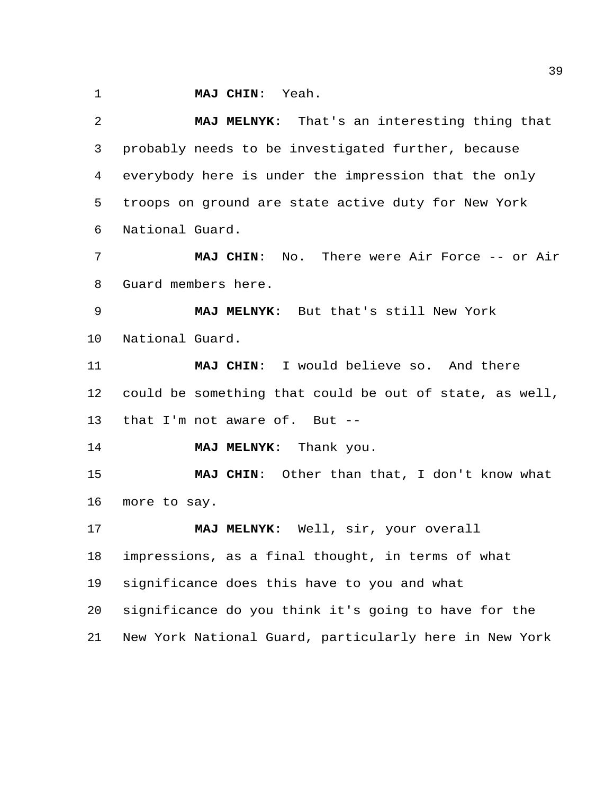**MAJ CHIN**: Yeah.

 **MAJ MELNYK**: That's an interesting thing that probably needs to be investigated further, because everybody here is under the impression that the only troops on ground are state active duty for New York National Guard. **MAJ CHIN**: No. There were Air Force -- or Air Guard members here. **MAJ MELNYK**: But that's still New York National Guard. **MAJ CHIN**: I would believe so. And there could be something that could be out of state, as well, that I'm not aware of. But -- **MAJ MELNYK**: Thank you. **MAJ CHIN**: Other than that, I don't know what more to say. **MAJ MELNYK**: Well, sir, your overall impressions, as a final thought, in terms of what significance does this have to you and what significance do you think it's going to have for the New York National Guard, particularly here in New York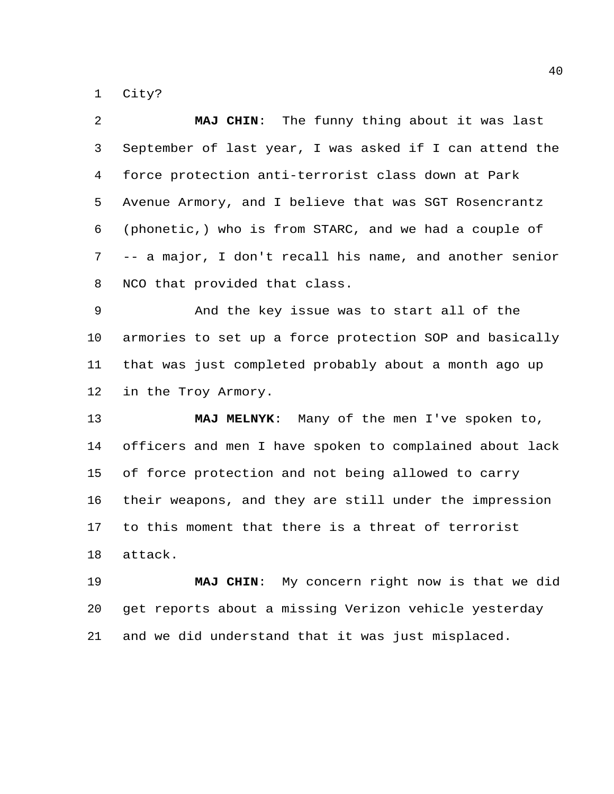City?

| 2              | MAJ CHIN: The funny thing about it was last             |
|----------------|---------------------------------------------------------|
| $\mathsf{3}$   | September of last year, I was asked if I can attend the |
| $\overline{4}$ | force protection anti-terrorist class down at Park      |
| 5              | Avenue Armory, and I believe that was SGT Rosencrantz   |
| 6              | (phonetic,) who is from STARC, and we had a couple of   |
| 7              | -- a major, I don't recall his name, and another senior |
| 8              | NCO that provided that class.                           |
| $\overline{9}$ | And the key issue was to start all of the               |
| 10             | armories to set up a force protection SOP and basically |
| 11             | that was just completed probably about a month ago up   |
| 12             | in the Troy Armory.                                     |
| 13             | MAJ MELNYK: Many of the men I've spoken to,             |
| 14             | officers and men I have spoken to complained about lack |
| 15             | of force protection and not being allowed to carry      |
| 16             | their weapons, and they are still under the impression  |
| 17             | to this moment that there is a threat of terrorist      |
| 18             | attack.                                                 |

 **MAJ CHIN**: My concern right now is that we did get reports about a missing Verizon vehicle yesterday and we did understand that it was just misplaced.